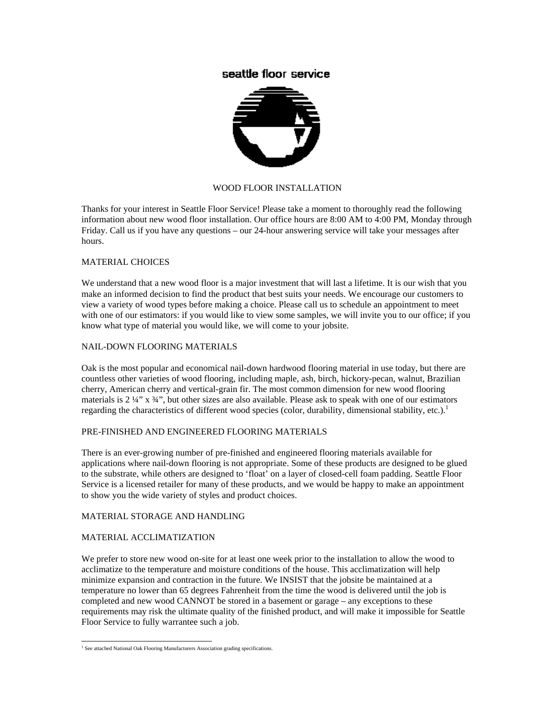# seattle floor service



## WOOD FLOOR INSTALLATION

Thanks for your interest in Seattle Floor Service! Please take a moment to thoroughly read the following information about new wood floor installation. Our office hours are 8:00 AM to 4:00 PM, Monday through Friday. Call us if you have any questions – our 24-hour answering service will take your messages after hours.

## MATERIAL CHOICES

We understand that a new wood floor is a major investment that will last a lifetime. It is our wish that you make an informed decision to find the product that best suits your needs. We encourage our customers to view a variety of wood types before making a choice. Please call us to schedule an appointment to meet with one of our estimators: if you would like to view some samples, we will invite you to our office; if you know what type of material you would like, we will come to your jobsite.

#### NAIL-DOWN FLOORING MATERIALS

Oak is the most popular and economical nail-down hardwood flooring material in use today, but there are countless other varieties of wood flooring, including maple, ash, birch, hickory-pecan, walnut, Brazilian cherry, American cherry and vertical-grain fir. The most common dimension for new wood flooring materials is  $2 \frac{1}{4}$ " x  $\frac{3}{4}$ ", but other sizes are also available. Please ask to speak with one of our estimators regarding the characteristics of different wood species (color, durability, dimensional stability, etc.).<sup>1</sup>

#### PRE-FINISHED AND ENGINEERED FLOORING MATERIALS

There is an ever-growing number of pre-finished and engineered flooring materials available for applications where nail-down flooring is not appropriate. Some of these products are designed to be glued to the substrate, while others are designed to 'float' on a layer of closed-cell foam padding. Seattle Floor Service is a licensed retailer for many of these products, and we would be happy to make an appointment to show you the wide variety of styles and product choices.

#### MATERIAL STORAGE AND HANDLING

## MATERIAL ACCLIMATIZATION

We prefer to store new wood on-site for at least one week prior to the installation to allow the wood to acclimatize to the temperature and moisture conditions of the house. This acclimatization will help minimize expansion and contraction in the future. We INSIST that the jobsite be maintained at a temperature no lower than 65 degrees Fahrenheit from the time the wood is delivered until the job is completed and new wood CANNOT be stored in a basement or garage – any exceptions to these requirements may risk the ultimate quality of the finished product, and will make it impossible for Seattle Floor Service to fully warrantee such a job.

<span id="page-0-0"></span> $\frac{1}{1}$ <sup>1</sup> See attached National Oak Flooring Manufacturers Association grading specifications.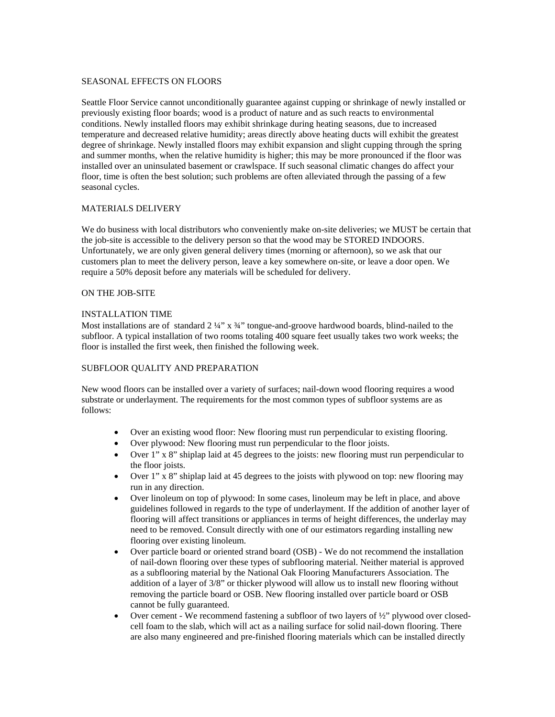#### SEASONAL EFFECTS ON FLOORS

Seattle Floor Service cannot unconditionally guarantee against cupping or shrinkage of newly installed or previously existing floor boards; wood is a product of nature and as such reacts to environmental conditions. Newly installed floors may exhibit shrinkage during heating seasons, due to increased temperature and decreased relative humidity; areas directly above heating ducts will exhibit the greatest degree of shrinkage. Newly installed floors may exhibit expansion and slight cupping through the spring and summer months, when the relative humidity is higher; this may be more pronounced if the floor was installed over an uninsulated basement or crawlspace. If such seasonal climatic changes do affect your floor, time is often the best solution; such problems are often alleviated through the passing of a few seasonal cycles.

## MATERIALS DELIVERY

We do business with local distributors who conveniently make on-site deliveries; we MUST be certain that the job-site is accessible to the delivery person so that the wood may be STORED INDOORS. Unfortunately, we are only given general delivery times (morning or afternoon), so we ask that our customers plan to meet the delivery person, leave a key somewhere on-site, or leave a door open. We require a 50% deposit before any materials will be scheduled for delivery.

## ON THE JOB-SITE

## INSTALLATION TIME

Most installations are of standard  $2\frac{1}{4}$ " x  $\frac{3}{4}$ " tongue-and-groove hardwood boards, blind-nailed to the subfloor. A typical installation of two rooms totaling 400 square feet usually takes two work weeks; the floor is installed the first week, then finished the following week.

## SUBFLOOR QUALITY AND PREPARATION

New wood floors can be installed over a variety of surfaces; nail-down wood flooring requires a wood substrate or underlayment. The requirements for the most common types of subfloor systems are as follows:

- Over an existing wood floor: New flooring must run perpendicular to existing flooring.
- Over plywood: New flooring must run perpendicular to the floor joists.
- Over 1" x 8" shiplap laid at 45 degrees to the joists: new flooring must run perpendicular to the floor joists.
- Over 1" x 8" shiplap laid at 45 degrees to the joists with plywood on top: new flooring may run in any direction.
- Over linoleum on top of plywood: In some cases, linoleum may be left in place, and above guidelines followed in regards to the type of underlayment. If the addition of another layer of flooring will affect transitions or appliances in terms of height differences, the underlay may need to be removed. Consult directly with one of our estimators regarding installing new flooring over existing linoleum.
- Over particle board or oriented strand board (OSB) We do not recommend the installation of nail-down flooring over these types of subflooring material. Neither material is approved as a subflooring material by the National Oak Flooring Manufacturers Association. The addition of a layer of 3/8" or thicker plywood will allow us to install new flooring without removing the particle board or OSB. New flooring installed over particle board or OSB cannot be fully guaranteed.
- Over cement We recommend fastening a subfloor of two layers of 1/2" plywood over closedcell foam to the slab, which will act as a nailing surface for solid nail-down flooring. There are also many engineered and pre-finished flooring materials which can be installed directly